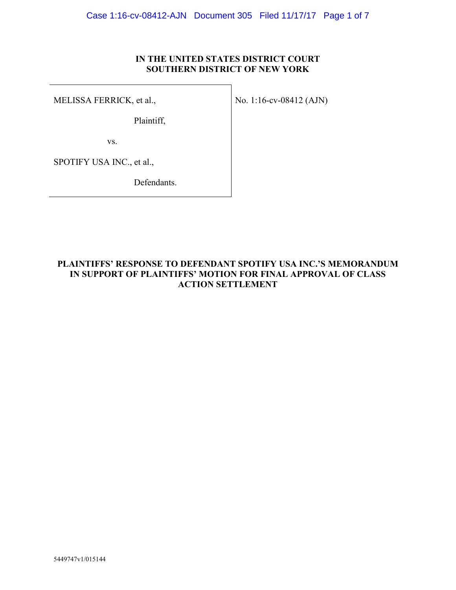## **IN THE UNITED STATES DISTRICT COURT SOUTHERN DISTRICT OF NEW YORK**

MELISSA FERRICK, et al.,

Plaintiff,

vs.

SPOTIFY USA INC., et al.,

Defendants.

**PLAINTIFFS' RESPONSE TO DEFENDANT SPOTIFY USA INC.'S MEMORANDUM IN SUPPORT OF PLAINTIFFS' MOTION FOR FINAL APPROVAL OF CLASS ACTION SETTLEMENT**

No. 1:16-cv-08412 (AJN)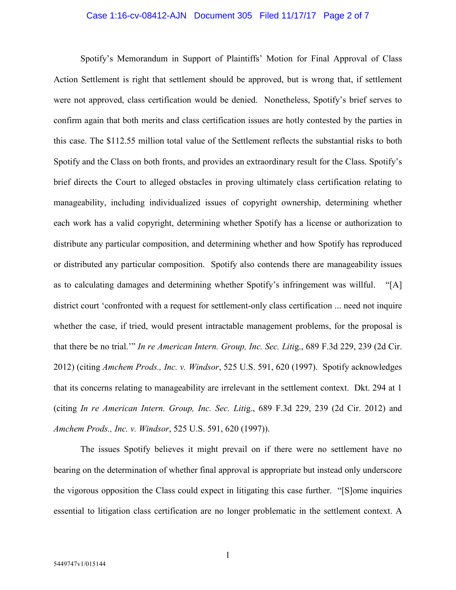#### Case 1:16-cv-08412-AJN Document 305 Filed 11/17/17 Page 2 of 7

Spotify's Memorandum in Support of Plaintiffs' Motion for Final Approval of Class Action Settlement is right that settlement should be approved, but is wrong that, if settlement were not approved, class certification would be denied. Nonetheless, Spotify's brief serves to confirm again that both merits and class certification issues are hotly contested by the parties in this case. The \$112.55 million total value of the Settlement reflects the substantial risks to both Spotify and the Class on both fronts, and provides an extraordinary result for the Class. Spotify's brief directs the Court to alleged obstacles in proving ultimately class certification relating to manageability, including individualized issues of copyright ownership, determining whether each work has a valid copyright, determining whether Spotify has a license or authorization to distribute any particular composition, and determining whether and how Spotify has reproduced or distributed any particular composition. Spotify also contends there are manageability issues as to calculating damages and determining whether Spotify's infringement was willful. "[A] district court 'confronted with a request for settlement-only class certification ... need not inquire whether the case, if tried, would present intractable management problems, for the proposal is that there be no trial.'" *In re American Intern. Group, Inc. Sec. Liti*g., 689 F.3d 229, 239 (2d Cir. 2012) (citing *Amchem Prods., Inc. v. Windsor*, 525 U.S. 591, 620 (1997). Spotify acknowledges that its concerns relating to manageability are irrelevant in the settlement context. Dkt. 294 at 1 (citing *In re American Intern. Group, Inc. Sec. Liti*g., 689 F.3d 229, 239 (2d Cir. 2012) and *Amchem Prods., Inc. v. Windsor*, 525 U.S. 591, 620 (1997)).

The issues Spotify believes it might prevail on if there were no settlement have no bearing on the determination of whether final approval is appropriate but instead only underscore the vigorous opposition the Class could expect in litigating this case further. "[S]ome inquiries essential to litigation class certification are no longer problematic in the settlement context. A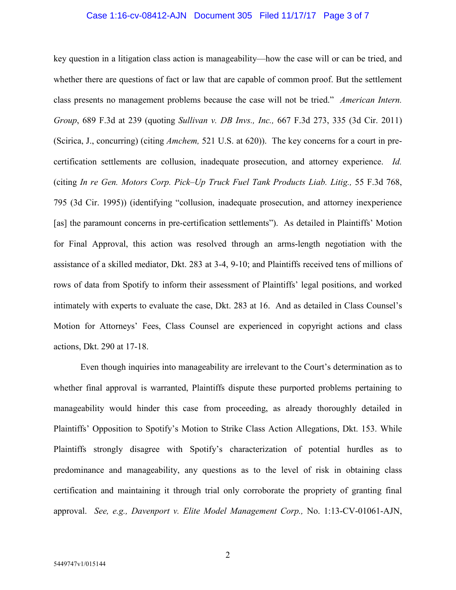#### Case 1:16-cv-08412-AJN Document 305 Filed 11/17/17 Page 3 of 7

key question in a litigation class action is manageability—how the case will or can be tried, and whether there are questions of fact or law that are capable of common proof. But the settlement class presents no management problems because the case will not be tried." *American Intern. Group*, 689 F.3d at 239 (quoting *Sullivan v. DB Invs., Inc.,* 667 F.3d 273, 335 (3d Cir. 2011) (Scirica, J., concurring) (citing *Amchem,* 521 U.S. at 620)). The key concerns for a court in precertification settlements are collusion, inadequate prosecution, and attorney experience. *Id.* (citing *In re Gen. Motors Corp. Pick–Up Truck Fuel Tank Products Liab. Litig.,* 55 F.3d 768, 795 (3d Cir. 1995)) (identifying "collusion, inadequate prosecution, and attorney inexperience [as] the paramount concerns in pre-certification settlements"). As detailed in Plaintiffs' Motion for Final Approval, this action was resolved through an arms-length negotiation with the assistance of a skilled mediator, Dkt. 283 at 3-4, 9-10; and Plaintiffs received tens of millions of rows of data from Spotify to inform their assessment of Plaintiffs' legal positions, and worked intimately with experts to evaluate the case, Dkt. 283 at 16. And as detailed in Class Counsel's Motion for Attorneys' Fees, Class Counsel are experienced in copyright actions and class actions, Dkt. 290 at 17-18.

Even though inquiries into manageability are irrelevant to the Court's determination as to whether final approval is warranted, Plaintiffs dispute these purported problems pertaining to manageability would hinder this case from proceeding, as already thoroughly detailed in Plaintiffs' Opposition to Spotify's Motion to Strike Class Action Allegations, Dkt. 153. While Plaintiffs strongly disagree with Spotify's characterization of potential hurdles as to predominance and manageability, any questions as to the level of risk in obtaining class certification and maintaining it through trial only corroborate the propriety of granting final approval. *See, e.g., Davenport v. Elite Model Management Corp.,* No. 1:13-CV-01061-AJN,

2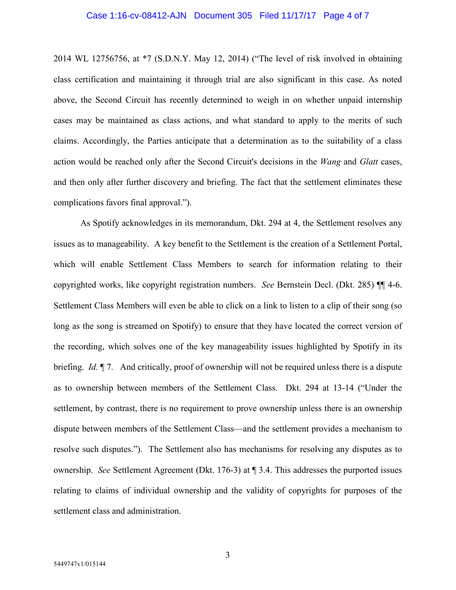#### Case 1:16-cv-08412-AJN Document 305 Filed 11/17/17 Page 4 of 7

2014 WL 12756756, at \*7 (S.D.N.Y. May 12, 2014) ("The level of risk involved in obtaining class certification and maintaining it through trial are also significant in this case. As noted above, the Second Circuit has recently determined to weigh in on whether unpaid internship cases may be maintained as class actions, and what standard to apply to the merits of such claims. Accordingly, the Parties anticipate that a determination as to the suitability of a class action would be reached only after the Second Circuit's decisions in the *Wang* and *Glatt* cases, and then only after further discovery and briefing. The fact that the settlement eliminates these complications favors final approval.").

As Spotify acknowledges in its memorandum, Dkt. 294 at 4, the Settlement resolves any issues as to manageability. A key benefit to the Settlement is the creation of a Settlement Portal, which will enable Settlement Class Members to search for information relating to their copyrighted works, like copyright registration numbers. *See* Bernstein Decl. (Dkt. 285) ¶¶ 4-6. Settlement Class Members will even be able to click on a link to listen to a clip of their song (so long as the song is streamed on Spotify) to ensure that they have located the correct version of the recording, which solves one of the key manageability issues highlighted by Spotify in its briefing. *Id.* ¶ 7. And critically, proof of ownership will not be required unless there is a dispute as to ownership between members of the Settlement Class. Dkt. 294 at 13-14 ("Under the settlement, by contrast, there is no requirement to prove ownership unless there is an ownership dispute between members of the Settlement Class—and the settlement provides a mechanism to resolve such disputes."). The Settlement also has mechanisms for resolving any disputes as to ownership. *See* Settlement Agreement (Dkt. 176-3) at ¶ 3.4. This addresses the purported issues relating to claims of individual ownership and the validity of copyrights for purposes of the settlement class and administration.

3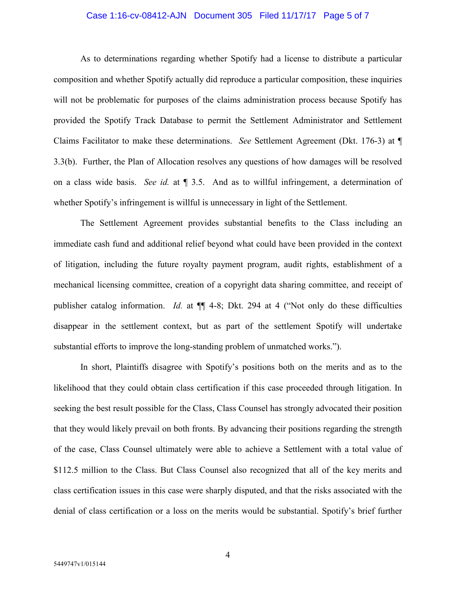#### Case 1:16-cv-08412-AJN Document 305 Filed 11/17/17 Page 5 of 7

As to determinations regarding whether Spotify had a license to distribute a particular composition and whether Spotify actually did reproduce a particular composition, these inquiries will not be problematic for purposes of the claims administration process because Spotify has provided the Spotify Track Database to permit the Settlement Administrator and Settlement Claims Facilitator to make these determinations. *See* Settlement Agreement (Dkt. 176-3) at ¶ 3.3(b). Further, the Plan of Allocation resolves any questions of how damages will be resolved on a class wide basis. *See id.* at ¶ 3.5. And as to willful infringement, a determination of whether Spotify's infringement is willful is unnecessary in light of the Settlement.

The Settlement Agreement provides substantial benefits to the Class including an immediate cash fund and additional relief beyond what could have been provided in the context of litigation, including the future royalty payment program, audit rights, establishment of a mechanical licensing committee, creation of a copyright data sharing committee, and receipt of publisher catalog information. *Id.* at ¶¶ 4-8; Dkt. 294 at 4 ("Not only do these difficulties disappear in the settlement context, but as part of the settlement Spotify will undertake substantial efforts to improve the long-standing problem of unmatched works.").

In short, Plaintiffs disagree with Spotify's positions both on the merits and as to the likelihood that they could obtain class certification if this case proceeded through litigation. In seeking the best result possible for the Class, Class Counsel has strongly advocated their position that they would likely prevail on both fronts. By advancing their positions regarding the strength of the case, Class Counsel ultimately were able to achieve a Settlement with a total value of \$112.5 million to the Class. But Class Counsel also recognized that all of the key merits and class certification issues in this case were sharply disputed, and that the risks associated with the denial of class certification or a loss on the merits would be substantial. Spotify's brief further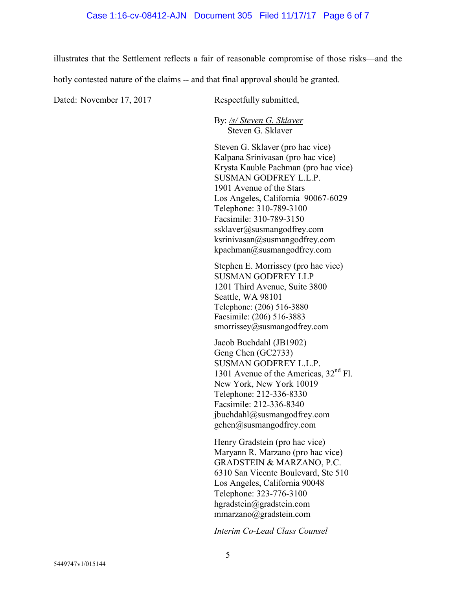### Case 1:16-cv-08412-AJN Document 305 Filed 11/17/17 Page 6 of 7

illustrates that the Settlement reflects a fair of reasonable compromise of those risks—and the hotly contested nature of the claims -- and that final approval should be granted.

Dated: November 17, 2017 Respectfully submitted,

By: */s/ Steven G. Sklaver* Steven G. Sklaver

Steven G. Sklaver (pro hac vice) Kalpana Srinivasan (pro hac vice) Krysta Kauble Pachman (pro hac vice) SUSMAN GODFREY L.L.P. 1901 Avenue of the Stars Los Angeles, California 90067-6029 Telephone: 310-789-3100 Facsimile: 310-789-3150 ssklaver@susmangodfrey.com  $ksrinivasan@susmangodfrey.com$ kpachman@susmangodfrey.com

Stephen E. Morrissey (pro hac vice) SUSMAN GODFREY LLP 1201 Third Avenue, Suite 3800 Seattle, WA 98101 Telephone: (206) 516-3880 Facsimile: (206) 516-3883 smorrissey@susmangodfrey.com

Jacob Buchdahl (JB1902) Geng Chen (GC2733) SUSMAN GODFREY L.L.P. 1301 Avenue of the Americas,  $32<sup>nd</sup>$  Fl. New York, New York 10019 Telephone: 212-336-8330 Facsimile: 212-336-8340 jbuchdahl@susmangodfrey.com gchen@susmangodfrey.com

Henry Gradstein (pro hac vice) Maryann R. Marzano (pro hac vice) GRADSTEIN & MARZANO, P.C. 6310 San Vicente Boulevard, Ste 510 Los Angeles, California 90048 Telephone: 323-776-3100 hgradstein@gradstein.com mmarzano@gradstein.com

*Interim Co-Lead Class Counsel*